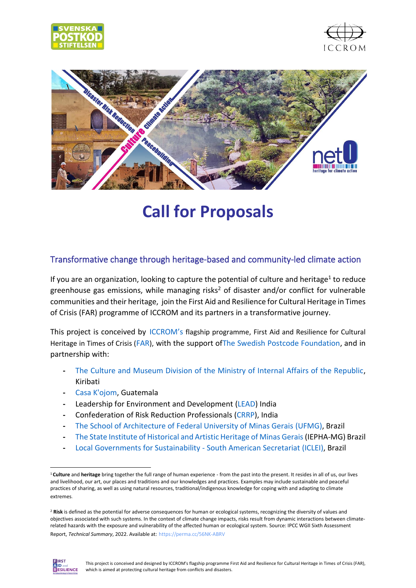





# **Call for Proposals**

### Transformative change through heritage-based and community-led climate action

If you are an organization, looking to capture the potential of culture and heritage<sup>1</sup> to reduce greenhouse gas emissions, while managing risks<sup>2</sup> of disaster and/or conflict for vulnerable communities and their heritage, join the First Aid and Resilience for Cultural Heritage in Times of Crisis [\(FAR\)](https://www.iccrom.org/section/disaster-resilient-heritage/first-aid-and-resilience-cultural-heritage-times-crisis-far) programme of [ICCROM](https://www.iccrom.org/section/disaster-resilient-heritage/first-aid-and-resilience-cultural-heritage-times-crisis-far) and its partners in a transformative journey.

This project is conceived by [ICCROM](https://www.iccrom.org/section/disaster-resilient-heritage/first-aid-and-resilience-cultural-heritage-times-crisis-far)'s flagship programme, First Aid and Resilience for Cultural Heritage in Times of Crisis ([FAR](https://www.iccrom.org/section/disaster-resilient-heritage/first-aid-and-resilience-cultural-heritage-times-crisis-far)), with the support o[fThe Swedish Postcode Foundation,](https://postkodstiftelsen.se/en/) and in partnership with:

- **-** [The Culture and Museum Division of the Ministry of Internal Affairs of the Republic,](https://internalaffairs.gov.ki/cmd/index.php/about-us) Kiribati
- **-** [Casa K'ojom,](http://kojom.org/) Guatemala
- **-** Leadership for Environment and Development [\(LEAD\)](http://www.leadindia.org/) India
- **-** Confederation of Risk Reduction Professionals [\(CRRP\)](https://www.crrpindia.org/), India
- **-** [The School of Architecture of Federal University of Minas Gerais](https://www.ufmg.br/english/conheca/index.shtml) (UFMG), Brazil
- **-** [The State Institute of Historical and Artistic Heritage of Minas Gerais](http://www.iepha.mg.gov.br/)(IEPHA-MG) Brazil
- **-** [Local Governments for Sustainability -](https://americadosul.iclei.org/) South American Secretariat (ICLEI), Brazil

<sup>2</sup> **Risk** is defined as the potential for adverse consequences for human or ecological systems, recognizing the diversity of values and objectives associated with such systems. In the context of climate change impacts, risks result from dynamic interactions between climaterelated hazards with the exposure and vulnerability of the affected human or ecological system. Source: IPCC WGII Sixth Assessment Report, *Technical Summary*, 2022. Available at: https://perma.cc/56NK-ABRV



<sup>1</sup> **Culture** and **heritage** bring together the full range of human experience - from the past into the present. It resides in all of us, our lives and livelihood, our art, our places and traditions and our knowledges and practices. Examples may include sustainable and peaceful practices of sharing, as well as using natural resources, traditional/indigenous knowledge for coping with and adapting to climate extremes.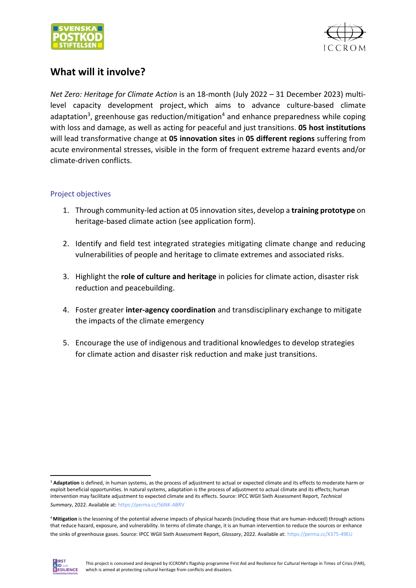



# **What will it involve?**

*Net Zero: Heritage for Climate Action* is an 18-month (July 2022 – 31 December 2023) multilevel capacity development project, which aims to advance culture-based climate adaptation<sup>3</sup>, greenhouse gas reduction/mitigation<sup>4</sup> and enhance preparedness while coping with loss and damage, as well as acting for peaceful and just transitions. **05 host institutions** will lead transformative change at **05 innovation sites** in **05 different regions** suffering from acute environmental stresses, visible in the form of frequent extreme hazard events and/or climate-driven conflicts.

### Project objectives

- 1. Through community-led action at 05 innovation sites, develop a **training prototype** on heritage-based climate action (see application form).
- 2. Identify and field test integrated strategies mitigating climate change and reducing vulnerabilities of people and heritage to climate extremes and associated risks.
- 3. Highlight the **role of culture and heritage** in policies for climate action, disaster risk reduction and peacebuilding.
- 4. Foster greater **inter-agency coordination** and transdisciplinary exchange to mitigate the impacts of the climate emergency
- 5. Encourage the use of indigenous and traditional knowledges to develop strategies for climate action and disaster risk reduction and make just transitions.

<sup>4</sup>**Mitigation** is the lessening of the potential adverse impacts of physical hazards (including those that are human-induced) through actions that reduce hazard, exposure, and vulnerability. In terms of climate change, it is an human intervention to reduce the sources or enhance the sinks of greenhouse gases. Source: IPCC WGII Sixth Assessment Report, *Glossary*, 2022. Available at: https://perma.cc/X375-49EU



<sup>&</sup>lt;sup>3</sup> Adaptation is defined, in human systems, as the process of adjustment to actual or expected climate and its effects to moderate harm or exploit beneficial opportunities. In natural systems, adaptation is the process of adjustment to actual climate and its effects; human intervention may facilitate adjustment to expected climate and its effects. Source: IPCC WGII Sixth Assessment Report, *Technical Summary*, 2022. Available at: https://perma.cc/56NK-ABRV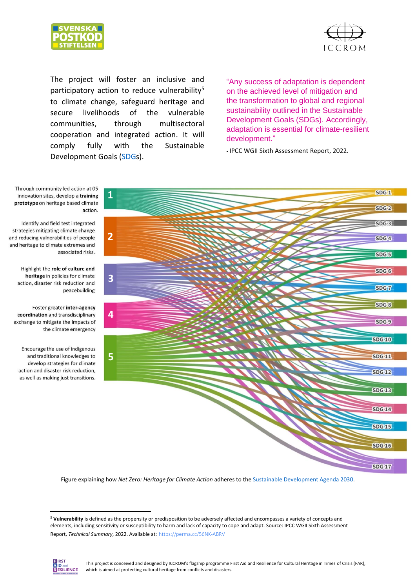



The project will foster an inclusive and participatory action to reduce vulnerability<sup>5</sup> to climate change, safeguard heritage and secure livelihoods of the vulnerable communities, through multisectoral cooperation and integrated action. It will comply fully with the Sustainable Development Goals [\(SDGs](https://www.undp.org/sustainable-development-goals)).

"Any success of adaptation is dependent on the achieved level of mitigation and the transformation to global and regional sustainability outlined in the Sustainable Development Goals (SDGs). Accordingly, adaptation is essential for climate-resilient development."

- IPCC WGII Sixth Assessment Report, 2022.

Through community led action at 05 **1** innovation sites, develop a training prototype on heritage based climate action. Identify and field test integrated

strategies mitigating climate change and reducing vulnerabilities of people and heritage to climate extremes and associated risks.

Highlight the role of culture and heritage in policies for climate action, disaster risk reduction and peacebuilding

Foster greater inter-agency coordination and transdisciplinary exchange to mitigate the impacts of the climate emergency

Encourage the use of indigenous and traditional knowledges to develop strategies for climate action and disaster risk reduction, as well as making just transitions.



Figure explaining how *Net Zero: Heritage for Climate Action* adheres to the [Sustainable Development Agenda 2030.](https://unsdg.un.org/2030-agenda)

<sup>5</sup> **Vulnerability** is defined as the propensity or predisposition to be adversely affected and encompasses a variety of concepts and elements, including sensitivity or susceptibility to harm and lack of capacity to cope and adapt. Source: IPCC WGII Sixth Assessment Report, *Technical Summary*, 2022. Available at: https://perma.cc/56NK-ABRV

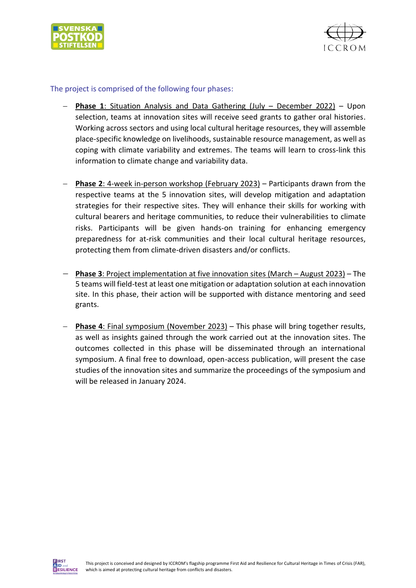



#### The project is comprised of the following four phases:

- − **Phase 1**: Situation Analysis and Data Gathering (July December 2022) Upon selection, teams at innovation sites will receive seed grants to gather oral histories. Working across sectors and using local cultural heritage resources, they will assemble place-specific knowledge on livelihoods, sustainable resource management, as well as coping with climate variability and extremes. The teams will learn to cross-link this information to climate change and variability data.
- − **Phase 2**: 4-week in-person workshop (February 2023) Participants drawn from the respective teams at the 5 innovation sites, will develop mitigation and adaptation strategies for their respective sites. They will enhance their skills for working with cultural bearers and heritage communities, to reduce their vulnerabilities to climate risks. Participants will be given hands-on training for enhancing emergency preparedness for at-risk communities and their local cultural heritage resources, protecting them from climate-driven disasters and/or conflicts.
- − **Phase 3**: Project implementation at five innovation sites (March August 2023) The 5 teams will field-test at least one mitigation or adaptation solution at each innovation site. In this phase, their action will be supported with distance mentoring and seed grants.
- − **Phase 4**: Final symposium (November 2023) This phase will bring together results, as well as insights gained through the work carried out at the innovation sites. The outcomes collected in this phase will be disseminated through an international symposium. A final free to download, open-access publication, will present the case studies of the innovation sites and summarize the proceedings of the symposium and will be released in January 2024.

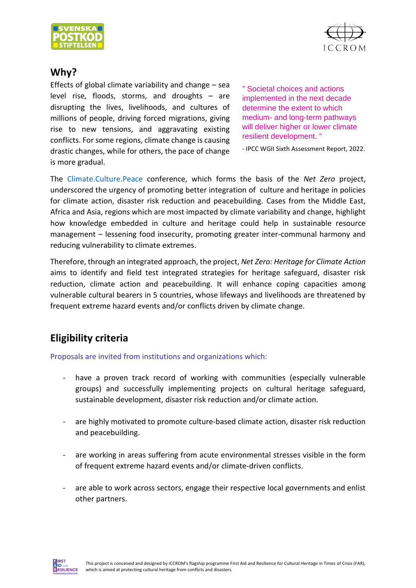



# **Why?**

Effects of global climate variability and change  $-$  sea level rise, floods, storms, and droughts – are disrupting the lives, livelihoods, and cultures of millions of people, driving forced migrations, giving rise to new tensions, and aggravating existing conflicts. For some regions, climate change is causing drastic changes, while for others, the pace of change is more gradual.

" Societal choices and actions implemented in the next decade determine the extent to which medium- and long-term pathways will deliver higher or lower climate resilient development. "

- IPCC WGII Sixth Assessment Report, 2022.

The [Climate.Culture.Peace](https://www.climateculturepeace.org/event/aa0e10db-006b-46ab-8012-f66df32d910b/summary?tm=SWyi9-wO7_rY27L261jMIaJbiL7ZQjiHmlq2mbaQUGo&locale=en-US) conference, which forms the basis of the *Net Zero* project, underscored the urgency of promoting better integration of culture and heritage in policies for climate action, disaster risk reduction and peacebuilding. Cases from the Middle East, Africa and Asia, regions which are most impacted by climate variability and change, highlight how knowledge embedded in culture and heritage could help in sustainable resource management – lessening food insecurity, promoting greater inter-communal harmony and reducing vulnerability to climate extremes.

Therefore, through an integrated approach, the project, *Net Zero: Heritage for Climate Action* aims to identify and field test integrated strategies for heritage safeguard, disaster risk reduction, climate action and peacebuilding. It will enhance coping capacities among vulnerable cultural bearers in 5 countries, whose lifeways and livelihoods are threatened by frequent extreme hazard events and/or conflicts driven by climate change.

# **Eligibility criteria**

Proposals are invited from institutions and organizations which:

- have a proven track record of working with communities (especially vulnerable groups) and successfully implementing projects on cultural heritage safeguard, sustainable development, disaster risk reduction and/or climate action.
- are highly motivated to promote culture-based climate action, disaster risk reduction and peacebuilding.
- are working in areas suffering from acute environmental stresses visible in the form of frequent extreme hazard events and/or climate-driven conflicts.
- are able to work across sectors, engage their respective local governments and enlist other partners.

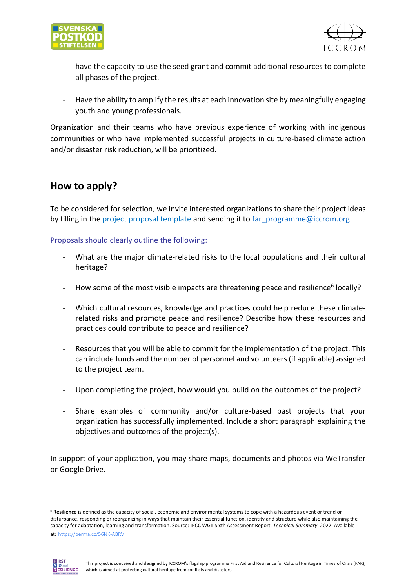



- have the capacity to use the seed grant and commit additional resources to complete all phases of the project.
- Have the ability to amplify the results at each innovation site by meaningfully engaging youth and young professionals.

Organization and their teams who have previous experience of working with indigenous communities or who have implemented successful projects in culture-based climate action and/or disaster risk reduction, will be prioritized.

# **How to apply?**

To be considered for selection, we invite interested organizations to share their project ideas by filling in the project proposal template and sending it to [far\\_programme@iccrom.org](mailto:far_programme@iccrom.org)

Proposals should clearly outline the following:

- What are the major climate-related risks to the local populations and their cultural heritage?
- How some of the most visible impacts are threatening peace and resilience<sup>6</sup> locally?
- Which cultural resources, knowledge and practices could help reduce these climaterelated risks and promote peace and resilience? Describe how these resources and practices could contribute to peace and resilience?
- Resources that you will be able to commit for the implementation of the project. This can include funds and the number of personnel and volunteers (if applicable) assigned to the project team.
- Upon completing the project, how would you build on the outcomes of the project?
- Share examples of community and/or culture-based past projects that your organization has successfully implemented. Include a short paragraph explaining the objectives and outcomes of the project(s).

In support of your application, you may share maps, documents and photos via WeTransfer or Google Drive.

<sup>6</sup> **Resilience** is defined as the capacity of social, economic and environmental systems to cope with a hazardous event or trend or disturbance, responding or reorganizing in ways that maintain their essential function, identity and structure while also maintaining the capacity for adaptation, learning and transformation. Source: IPCC WGII Sixth Assessment Report, *Technical Summary*, 2022. Available at: https://perma.cc/56NK-ABRV